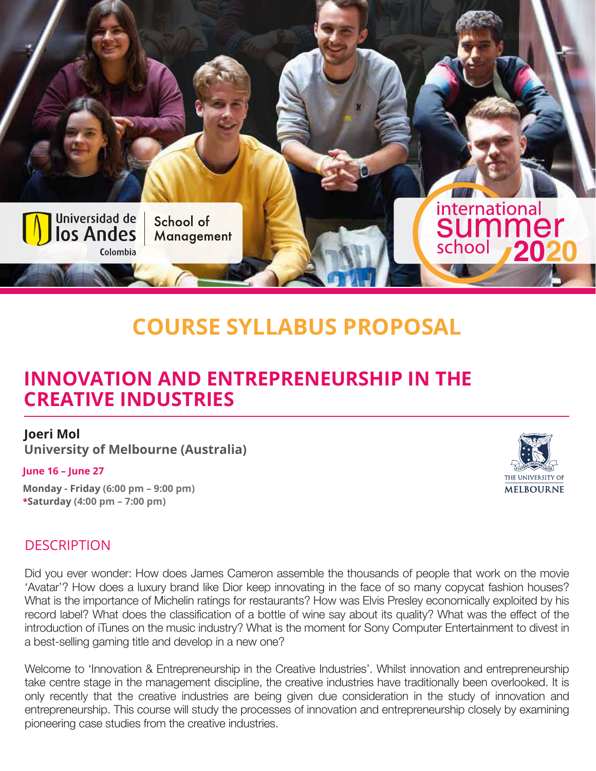

# **COURSE SYLLABUS PROPOSAL**

## **INNOVATION AND ENTREPRENEURSHIP IN THE CREATIVE INDUSTRIES**

#### **Joeri Mol**

**University of Melbourne (Australia)**

#### **June 16 – June 27**

**Monday - Friday (6:00 pm – 9:00 pm) \*Saturday (4:00 pm – 7:00 pm)**



#### **DESCRIPTION**

Did you ever wonder: How does James Cameron assemble the thousands of people that work on the movie 'Avatar'? How does a luxury brand like Dior keep innovating in the face of so many copycat fashion houses? What is the importance of Michelin ratings for restaurants? How was Elvis Presley economically exploited by his record label? What does the classification of a bottle of wine say about its quality? What was the effect of the introduction of iTunes on the music industry? What is the moment for Sony Computer Entertainment to divest in a best-selling gaming title and develop in a new one?

Welcome to 'Innovation & Entrepreneurship in the Creative Industries'. Whilst innovation and entrepreneurship take centre stage in the management discipline, the creative industries have traditionally been overlooked. It is only recently that the creative industries are being given due consideration in the study of innovation and entrepreneurship. This course will study the processes of innovation and entrepreneurship closely by examining pioneering case studies from the creative industries.